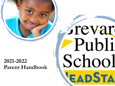### **2021-2022 Parent Handbook**

# Srevar Publi School EADSTA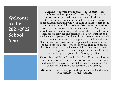**Welcome to the 2021-2022 School Year!**



Welcome to Brevard Public Schools Head Start . This handbook has been prepared to provide you important information and guidelines concerning Head Start. Parents/legal guardians are asked to read and discuss appropriate information with your child in order to help them adjust more successfully at school. You are encouraged to keep in close contact with your child's school. Also, your school may have additional guidelines which are specific to the local school activities and facilities. The active support and involvement of parents/legal guardians is needed continuously as we provide a safe and friendly place for children to learn. The information provided can help make the transition from home to school a successful one for your child each school day. It is our goal to provide your child with an environment that is safe, caring, and rich in learning experiences. Check out our [webpage](https://www.brevardschools.org/site/Default.aspx?PageID=3601) and your school's webpage often.

**Vision:** Brevard Public Schools Head Start Program will serve our community and enhance the lives of preschool students and families by delivering the highest quality education in a culture of dedication, collaboration, and learning.

**Mission:** To serve every prekindergarten student and family with excellence as the standard.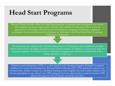# **Head Start Programs**

Brevard Public Schools offers the Head Start program at selected sites throughout the county. The program promotes high quality, full day early childhood education with a focus on approaches to learning, social emotional development, language and literacy, cognition, perceptual, motor, and physical development as indicated by the Head Start Early Learnings Outcomes Framework.

All classrooms are staffed with a Florida Department of Education early childhood certified teacher and at least one highly qualified instructional assistant. In addition to classroom staff, the program supports the Parent Family Community Engagement Outcomes Framework with a family advocate at each site.

Voluntary prekindergarten (VPK) is a state funded early learning program designed to prepare children for success in kindergarten. Brevard Public Schools offers VPK during the school year to Head Start children as part of a blended funding model. Eligible Brevard county children who do not participate in any school year VPK program have an opportunity to attend summer VPK offered through the school district or private providers.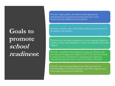# **Goals to promote school readiness:**

Provide a high quality, developmentally appropriate prekindergarten program promoting physical, social, emotional, and intellectual development.

Provide a positive, safe, and healthy learning environment for all children and families.

Provide active learning experiences by encouraging children to explore, create, and manipulate a variety of materials with adult support.

Provide a standards-based approach using the *Florida Early Learning and Developmental Standards (2017), the Head Start Early Learning Outcomes Framework* by integrating the *HighScope* educational approach and *Creative Curriculum for Preschool*.

Provide a parent partnership process that promotes an understanding of children's progress, provides support, and encourages learning and leadership.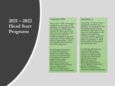### **2021 – 2022 Head Start Programs**

#### Head Start VPK

Head Start VPK classrooms maintain a class size of 20 children. As required by the Head Start performance standards, there are no less than two paid adults in the classroom at all times. Children eligible to attend must turn 4 years old on or before September 1 , 2021. Classrooms are located at the following sites:

Cambridge Elementary Coquina Elementary Discovery Elementary Endeavour Elementary Enterprise Elementary Jupiter Elementary Mims Elementary Palm Bay Elementary Port Malabar Elementary Saturn Elementary Sherwood Elementary University Park Elementary

#### Head Start - 3

Head Start -3 classes have a maximum number of 17 children. As required by the Head Start performance standards, there are no less than two paid adults in the classroom at all times. Children eligible to attend must be 3 years old on or before September 1 , 2021. Classrooms are located at the following sites:

Cambridge Elementary Coquina Elementary Discovery Elementary Endeavour Elementary Enterprise Elementary Jupiter Elementary Mims Elementary Palm Bay Elementary Port Malabar Elementary Saturn Elementary Sherwood Elementary University Park Elementary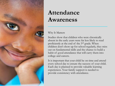

## **Attendance Awareness**

#### Why It Matters

Studies show that children who were chronically absent in the early years were far less likely to read proficiently at the end of the 3rd grade. When children don't show up for school regularly, they miss out on fundamental skills and the chance to build a habit of good attendance that will carry them into college and careers.

It is important that your child be on time and attend every school day to ensure the success of your child. Each day is planned to provide valuable learning experiences. Your family support is needed to provide consistency with attendance.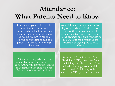# **Attendance: What Parents Need to Know**

In the event your child must be absent, notify the school immediately and submit written documentation for all absences upon their return to school. Written documentation can be a parent or doctor's note or legal document.

Your child's teacher will keep a daily log of attendance. At the end of the month, you may be asked to review the attendance record, attest to the accuracy and state your desire to have your child remain in the program by signing the *Parental Choice.*

After your family advocate has attempted to provide support to your family, withdrawal procedures may begin for any child who has frequent absences and tardiness.

If your child is withdrawn from Head Start VPK, a new certificate of eligibility must be obtained from the Early Learning Coalition (ELC) to re-enroll. A child may only reenroll in a VPK program one time.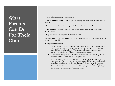**What Parents Can Do For Their Child**



- **Communicate regularly with teachers.**
- **Read to your child daily.** Allow ad (tell the story by looking at the illustrations) aloud to you.
- **Make sure your child gets enough rest**. No one does their best when sleepy or tired.
- **Keep your child healthy.** Take your child to the doctor for regular checkups and booster shots.
- **Help children maintain good attendance records.**
- **Monitor and limit TV watching.** Try to watch television together and comment on the show with your child.
- **Give your child choices.** 
	- Choices shouldn't include limitless options. Two clear options are all a child can really deal with in order to make a choice. Don't add another choice because your child suggests it. Tell him: "That was a good suggestion. These are the choices I 'm offering now. We'll try your suggestion next time."
	- Offer choices that guide your child toward the outcome you're seeking. Make sure both options offered are 100% okay with you.
	- If a child won't choose between the apple or the cranberry juice you need to choose for her. Follow through and choose so your child comes to understand that when you offer her a choice and she doesn't choose, the ability to choose goes away. You can say, "I know you're upset that I had to choose the juice for you. I have another choice for you to try now. Would you like to drink what I chose for you now or not have juice right now?"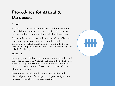### **Procedures for Arrival & Dismissal**

#### **Arrival**

Arriving on time provides for a smooth, calm transition for your child from home to the school setting. If you arrive early you will need to wait with your child until class begins.

Late arrivals create classroom disruption and can affect the educational growth of your child and others in the classroom**.** If a child arrives after class begins, the parent needs to accompany the child to the school office to sign the child in for the day.

#### **Dismissal**

Picking up your child on time eliminates the anxiety they will feel when you are late. Whether your child is being picked up at the bus stop or at school, the parent or adult picking up the child must be authorized to do so in writing and show photo identification.

Parents are expected to follow the school's arrival and dismissal procedures. Please speak with your family advocate or classroom teacher if you have questions.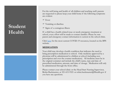### **Student Health**



For the well-being and health of all children and teaching staff, parents are requested to please keep your child home if the following symptoms are evident:

**F**ever

Vomiting or diarrhea

Signs of a contagious illness

If a child has a health-related issue or needs emergency treatment at school, every effort will be made to contact families. Please be sure parent and emergency contact information is current in the school clinic.

Click [here](https://fl02201431.schoolwires.net/Page/16315) for the most current COVID-19 resources, located on the BPS website.

#### **MEDICATION**

Your child may develop a health condition that indicates the need to bring prescription medication to school. Only medicine approved by a physician will be administered to children at school (including nonprescription and over the counter medication). All medicine must be in the original container and include the child's name, type and date of prescribed medication, amount, and time of dosage. Medication will only be administered through the front office.

Please contact your school clinic or the Head Start Nursing Supervisor, Robin Buckmaster, at 321-615-9321 or robin.buckmaster@flhealth.gov if you have any questions.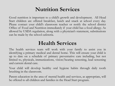### **Nutrition Services**

Good nutrition is important to a child's growth and development. All Head Start children are offered breakfast, lunch and snack at school every day. Please contact your child's classroom teacher or notify the school district Office of Food and Nutrition immediately if your child has a food allergy. As allowed by USDA regulation, along with a physician's statement, substitutions can be made by the school cafeteria.

### **Health Services**

The health services team will work with your family to assist you in identifying a primary medical and dental home. This will ensure your child is up to date on a schedule of primary preventative care including, but not limited to, physicals, immunizations, vision/hearing screening, lead screening and current dental care.

Your child will develop healthy oral hygiene habits through daily tooth brushing in the classroom.

Parent education in the area of mental health and services, as appropriate, will be offered to all children and families in the Head Start program.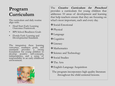### **Program Curriculum**

The curriculum and daily routine align with:

- Head Start Early Learning Outcomes Framework
- BPS School Readiness Goals
- Florida Early Learning and Developmental Standards

The integration these learning outcomes, readiness goals, and<br>standards provides a strong provides a strong foundation for young children to develop positive self-concepts, independence, and a sense of responsibility in an early childhood environment.



The **Creative Curriculum for Preschool** provides a curriculum for young children that addresses 10 areas of development and learning that help teachers ensure that they are focusing on what's most important, each and every day.

- ❖Social-Emotional
- ❖Physical
- ❖Language
- ❖Cognitive
- ❖Literacy
- **❖** Mathematics
- ❖Science and Technology
- ❖Social Studies
- ❖The Arts
- ❖English-Language Acquisition
	- The program incorporates high quality literature throughout the child centered lessons.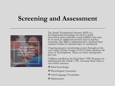# **Screening and Assessment**



The *Batelle Developmental Inventory (BDI)* is a developmental screening tool used to guide instruction and to identify young children who may be in need of additional services and/or further screening. The BDI is administered to all Head Start students within 45 calendar days of enrollment.

Ongoing progress monitoring occurs throughout the year using *Teaching Strategies GOLD* which monitors all areas of development. There are three checkpoints per year.

Children enrolled in the Head Start VPK Program are administered the *Florida VPK Assessment* three times a year which assesses:

- ❖ Print Knowledge
- ❖ Phonological Awareness
- ❖ Oral Language/Vocabulary
- ❖ Mathematics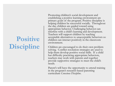# **Positive Discipline**

Promoting children's social development and establishing a positive learning environment are primary goals of the program. Positive discipline is helping children be successful socially. Throughout the day, children are guided toward using appropriate behavior. Challenging behavior can interfere with a child's learning and development. Teachers will support children by teaching acceptable alternatives to unacceptable behaviors so children can interact positively in the classroom environment.

Children are encouraged to do their own problem solving. Conflict resolution strategies are used to help them develop positive social skills. If a child has difficulty practicing appropriate behaviors, teachers may work with parents and together provide supportive strategies to meet the child's needs.

Parent's will have the opportunity to attend training in the program's research-based parenting curriculum *Conscious Discipline*.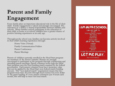### **Parent and Family Engagement**

Every family plays an important educational role in the life of their child. Family engagement is valued and strongly encouraged. The education of a child is a shared responsibility between families and schools. When families actively participate in the education of their child, at home or at school, children have a greater chance of positive learning experiences at an early age.

Throughout the school year, families can become actively involved in their child's learning experiences through:

> Home Visits (Virtual) Family Communication Folders Parent Conferences Parent Meetings

Parents of children currently enrolled in the Head Start program are members of the *Parent Committee*. Parents are strongly encouraged to participate in the program through volunteering and attending parent meetings. Parent volunteer hours help the Head Start program earn the local funding match required by the federal government. Each parent volunteer hour has a monetary value that can be applied to the Head Start non-federal match funding amount. The "non-federal match" requirement means that the program must raise 20 cents through local sources for every dollar of the grant funding. If every parent volunteers just 4 hours each month, this will help us meet our local match.

#### *I AM IN PRESCHOOL*

I am not built to sit still keep my hands to myself, take turns. be patient, stand in line. OR Keep quiet all of the time. *<u>Ineed</u>* motion. noveltu. adventure and to engage the world with my whole body. LET ME PLAY. (Trust me, I'm learning!)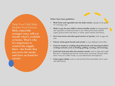Help Your Child Make Healthy Food Choices **Kids, especially younger ones, will eat mostly what's available at home. That's why it's important to control the supply lines - the foods that you serve for meals and have on hand for snacks.**

**Follow these basic guidelines:**

- **Work fruits and vegetables into the daily routine**, aiming for the goal of 5 servings a day.
- **Make it easy for your child to choose healthy snacks** by keeping fruits and vegetables on hand and ready to eat. Other good snacks include yogurt, peanut butter and celery, or whole- grain crackers and cheese.
- **Serve lean meats and other good sources of protein**, such as eggs and nuts.
- **Choose whole-grain breads and cereals** so your child gets more fiber.
- **Limit fat intake by avoiding deep-fried foods and choosing healthier cooking methods, such as broiling, grilling, roasting, and steaming.**
- Limit fast food and other low-nutrient snacks, such as chips and candy. But don' t completely ban favorite snacks from your home. Instead, make them "once-in-a-while" foods, so your child doesn't feel deprived.
- Limit sugary drinks, such as soda and fruit-flavored drinks. Serve water and milk instead.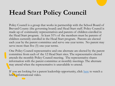# **Head Start Policy Council**

Policy Council is a group that works in partnership with the School Board of Brevard County (the governing board) and Head Start staff. Policy Council is made up of community representatives and parents of children enrolled in the Head Start program. At least 51% of the members must be parents of children currently enrolled in the Head Start program. Parents are elected each year by the parent committee and serve one-year terms. No parent may serve more than five (5) one-year terms.

One Policy Council representative and one alternate are elected by the parent committee from each of the 12 Head Start sites. The representative elected attends the monthly Policy Council meeting. The representative shares information with the parent committee at monthly meetings. The alternate may attend when the representative is unavailable to attend.

If you are looking for a parent leadership opportunity, click [here](https://youtu.be/1OSeoA4XCTc) to watch a brief informational video.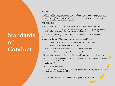# **Standards of Conduct**

#### **POLICY**

Head Start staff, consultants, contractors and volunteers must implement positive, ageappropriate strategies when managing challenging behaviors and not maltreat or endanger the health and safety of children. The grantee must ensure all staff, consultants and volunteers abide by the standards of conduct.

#### **PROCEDURE**

- A. These standards specify that staff, consultants, contractors, and volunteers will:
- 1. Respect and promote the unique identity of each child and family and refrain from stereotyping based on gender, race, ethnicity, culture, religion, or disability

2. Use positive methods of child guidance and not engage in corporal punishment. Corporal punishment is defined as physically

striking or hitting a child in any manner that is meant as punishment

3. Assure that no child is left alone or unsupervised while under their care

4. Not use isolation or restraint to discipline a child

5. Not bind or tie a child to restrict movement or tape a child's mouth

6. Not use or withhold food as a punishment or reward

7. Not use toilet learning/training methods that punish, demean, or humiliate a child

8. Not use any form of emotional abuse, including public or private humiliation, rejecting, terrorizing, extended ignoring, or

corrupting a child

9. Not physically abuse a child

10. Not use any form of verbal abuse, including profane, sarcastic language, threats, or derogatory remarks about the child or

child's family

11. Not use physical activity or outdoor time as a punishment or reward